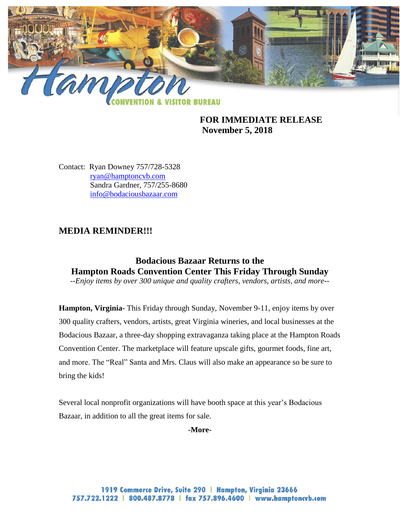

**FOR IMMEDIATE RELEASE November 5, 2018**

Contact: Ryan Downey 757/728-5328 [ryan@hamptoncvb.com](mailto:ryan@hamptoncvb.com) Sandra Gardner, 757/255-8680 [info@bodaciousbazaar.com](mailto:info@bodaciousbazaar.com) 

## **MEDIA REMINDER!!!**

# **Bodacious Bazaar Returns to the Hampton Roads Convention Center This Friday Through Sunday**

*--Enjoy items by over 300 unique and quality crafters, vendors, artists, and more--*

**Hampton, Virginia-** This Friday through Sunday, November 9-11, enjoy items by over 300 quality crafters, vendors, artists, great Virginia wineries, and local businesses at the Bodacious Bazaar, a three-day shopping extravaganza taking place at the Hampton Roads Convention Center. The marketplace will feature upscale gifts, gourmet foods, fine art, and more. The "Real" Santa and Mrs. Claus will also make an appearance so be sure to bring the kids!

Several local nonprofit organizations will have booth space at this year's Bodacious Bazaar, in addition to all the great items for sale.

**-More-**